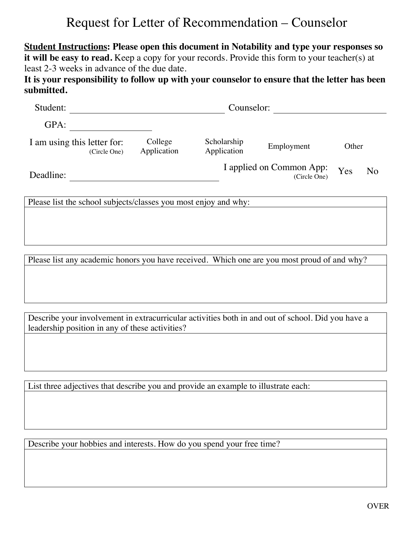## Request for Letter of Recommendation – Counselor

**Student Instructions: Please open this document in Notability and type your responses so**  it will be easy to read. Keep a copy for your records. Provide this form to your teacher(s) at least 2-3 weeks in advance of the due date.

**It is your responsibility to follow up with your counselor to ensure that the letter has been submitted.**

| Student:                                    | Counselor:             |                                          |            |       |                |
|---------------------------------------------|------------------------|------------------------------------------|------------|-------|----------------|
| GPA:                                        |                        |                                          |            |       |                |
| I am using this letter for:<br>(Circle One) | College<br>Application |                                          | Employment | Other |                |
| Deadline:                                   |                        | I applied on Common App:<br>(Circle One) |            | Yes   | N <sub>o</sub> |

Please list the school subjects/classes you most enjoy and why:

Please list any academic honors you have received. Which one are you most proud of and why?

Describe your involvement in extracurricular activities both in and out of school. Did you have a leadership position in any of these activities?

List three adjectives that describe you and provide an example to illustrate each:

Describe your hobbies and interests. How do you spend your free time?